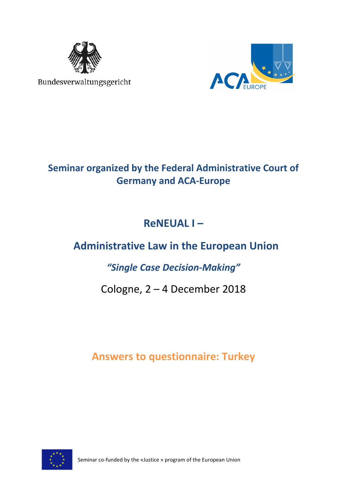

Bundesverwaltungsgericht



## **Seminar organized by the Federal Administrative Court of Germany and ACA-Europe**

# **ReNEUAL I –**

# **Administrative Law in the European Union**

### *"Single Case Decision-Making"*

## Cologne, 2 – 4 December 2018

### **Answers to questionnaire: Turkey**



Seminar co-funded by the «Justice » program of the European Union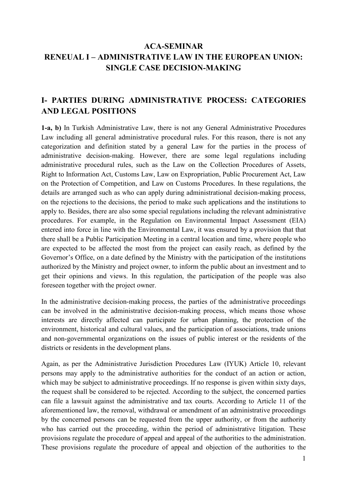### **ACA-SEMINAR RENEUAL I – ADMINISTRATIVE LAW IN THE EUROPEAN UNION: SINGLE CASE DECISION-MAKING**

### **I- PARTIES DURING ADMINISTRATIVE PROCESS: CATEGORIES AND LEGAL POSITIONS**

**1-a, b)** In Turkish Administrative Law, there is not any General Administrative Procedures Law including all general administrative procedural rules. For this reason, there is not any categorization and definition stated by a general Law for the parties in the process of administrative decision-making. However, there are some legal regulations including administrative procedural rules, such as the Law on the Collection Procedures of Assets, Right to Information Act, Customs Law, Law on Expropriation, Public Procurement Act, Law on the Protection of Competition, and Law on Customs Procedures. In these regulations, the details are arranged such as who can apply during administrational decision-making process, on the rejections to the decisions, the period to make such applications and the institutions to apply to. Besides, there are also some special regulations including the relevant administrative procedures. For example, in the Regulation on Environmental Impact Assessment (EIA) entered into force in line with the Environmental Law, it was ensured by a provision that that there shall be a Public Participation Meeting in a central location and time, where people who are expected to be affected the most from the project can easily reach, as defined by the Governor's Office, on a date defined by the Ministry with the participation of the institutions authorized by the Ministry and project owner, to inform the public about an investment and to get their opinions and views. In this regulation, the participation of the people was also foreseen together with the project owner.

In the administrative decision-making process, the parties of the administrative proceedings can be involved in the administrative decision-making process, which means those whose interests are directly affected can participate for urban planning, the protection of the environment, historical and cultural values, and the participation of associations, trade unions and non-governmental organizations on the issues of public interest or the residents of the districts or residents in the development plans.

Again, as per the Administrative Jurisdiction Procedures Law (IYUK) Article 10, relevant persons may apply to the administrative authorities for the conduct of an action or action, which may be subject to administrative proceedings. If no response is given within sixty days, the request shall be considered to be rejected. According to the subject, the concerned parties can file a lawsuit against the administrative and tax courts. According to Article 11 of the aforementioned law, the removal, withdrawal or amendment of an administrative proceedings by the concerned persons can be requested from the upper authority, or from the authority who has carried out the proceeding, within the period of administrative litigation. These provisions regulate the procedure of appeal and appeal of the authorities to the administration. These provisions regulate the procedure of appeal and objection of the authorities to the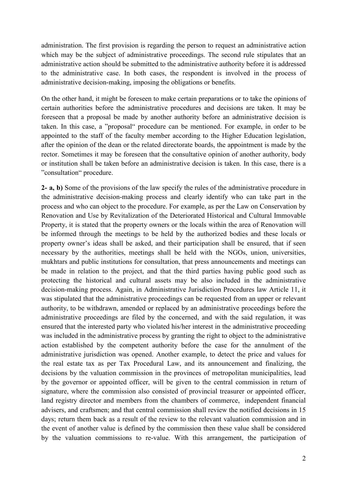administration. The first provision is regarding the person to request an administrative action which may be the subject of administrative proceedings. The second rule stipulates that an administrative action should be submitted to the administrative authority before it is addressed to the administrative case. In both cases, the respondent is involved in the process of administrative decision-making, imposing the obligations or benefits.

On the other hand, it might be foreseen to make certain preparations or to take the opinions of certain authorities before the administrative procedures and decisions are taken. It may be foreseen that a proposal be made by another authority before an administrative decision is taken. In this case, a "proposal" procedure can be mentioned. For example, in order to be appointed to the staff of the faculty member according to the Higher Education legislation, after the opinion of the dean or the related directorate boards, the appointment is made by the rector. Sometimes it may be foreseen that the consultative opinion of another authority, body or institution shall be taken before an administrative decision is taken. In this case, there is a "consultation" procedure.

**2- a, b)** Some of the provisions of the law specify the rules of the administrative procedure in the administrative decision-making process and clearly identify who can take part in the process and who can object to the procedure. For example, as per the Law on Conservation by Renovation and Use by Revitalization of the Deteriorated Historical and Cultural Immovable Property, it is stated that the property owners or the locals within the area of Renovation will be informed through the meetings to be held by the authorized bodies and these locals or property owner's ideas shall be asked, and their participation shall be ensured, that if seen necessary by the authorities, meetings shall be held with the NGOs, union, universities, mukhtars and public institutions for consultation, that press announcements and meetings can be made in relation to the project, and that the third parties having public good such as protecting the historical and cultural assets may be also included in the administrative decision-making process. Again, in Administrative Jurisdiction Procedures law Article 11, it was stipulated that the administrative proceedings can be requested from an upper or relevant authority, to be withdrawn, amended or replaced by an administrative proceedings before the administrative proceedings are filed by the concerned, and with the said regulation, it was ensured that the interested party who violated his/her interest in the administrative proceeding was included in the administrative process by granting the right to object to the administrative action established by the competent authority before the case for the annulment of the administrative jurisdiction was opened. Another example, to detect the price and values for the real estate tax as per Tax Procedural Law, and its announcement and finalizing, the decisions by the valuation commission in the provinces of metropolitan municipalities, lead by the governor or appointed officer, will be given to the central commission in return of signature, where the commission also consisted of provincial treasurer or appointed officer, land registry director and members from the chambers of commerce, independent financial advisers, and craftsmen; and that central commission shall review the notified decisions in 15 days; return them back as a result of the review to the relevant valuation commission and in the event of another value is defined by the commission then these value shall be considered by the valuation commissions to re-value. With this arrangement, the participation of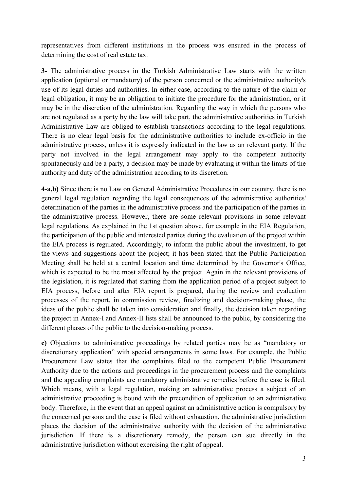representatives from different institutions in the process was ensured in the process of determining the cost of real estate tax.

**3-** The administrative process in the Turkish Administrative Law starts with the written application (optional or mandatory) of the person concerned or the administrative authority's use of its legal duties and authorities. In either case, according to the nature of the claim or legal obligation, it may be an obligation to initiate the procedure for the administration, or it may be in the discretion of the administration. Regarding the way in which the persons who are not regulated as a party by the law will take part, the administrative authorities in Turkish Administrative Law are obliged to establish transactions according to the legal regulations. There is no clear legal basis for the administrative authorities to include ex-officio in the administrative process, unless it is expressly indicated in the law as an relevant party. If the party not involved in the legal arrangement may apply to the competent authority spontaneously and be a party, a decision may be made by evaluating it within the limits of the authority and duty of the administration according to its discretion.

**4**-**a,b)** Since there is no Law on General Administrative Procedures in our country, there is no general legal regulation regarding the legal consequences of the administrative authorities' determination of the parties in the administrative process and the participation of the parties in the administrative process. However, there are some relevant provisions in some relevant legal regulations. As explained in the 1st question above, for example in the EIA Regulation, the participation of the public and interested parties during the evaluation of the project within the EIA process is regulated. Accordingly, to inform the public about the investment, to get the views and suggestions about the project; it has been stated that the Public Participation Meeting shall be held at a central location and time determined by the Governor's Office, which is expected to be the most affected by the project. Again in the relevant provisions of the legislation, it is regulated that starting from the application period of a project subject to EIA process, before and after EIA report is prepared, during the review and evaluation processes of the report, in commission review, finalizing and decision-making phase, the ideas of the public shall be taken into consideration and finally, the decision taken regarding the project in Annex-I and Annex-II lists shall be announced to the public, by considering the different phases of the public to the decision-making process.

**c)** Objections to administrative proceedings by related parties may be as "mandatory or discretionary application" with special arrangements in some laws. For example, the Public Procurement Law states that the complaints filed to the competent Public Procurement Authority due to the actions and proceedings in the procurement process and the complaints and the appealing complaints are mandatory administrative remedies before the case is filed. Which means, with a legal regulation, making an administrative process a subject of an administrative proceeding is bound with the precondition of application to an administrative body. Therefore, in the event that an appeal against an administrative action is compulsory by the concerned persons and the case is filed without exhaustion, the administrative jurisdiction places the decision of the administrative authority with the decision of the administrative jurisdiction. If there is a discretionary remedy, the person can sue directly in the administrative jurisdiction without exercising the right of appeal.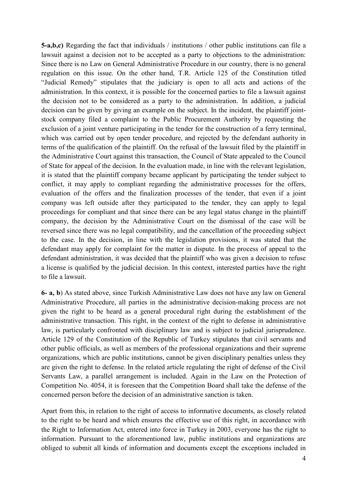**5-a,b,c)** Regarding the fact that individuals / institutions / other public institutions can file a lawsuit against a decision not to be accepted as a party to objections to the administration: Since there is no Law on General Administrative Procedure in our country, there is no general regulation on this issue. On the other hand, T.R. Article 125 of the Constitution titled "Judicial Remedy" stipulates that the judiciary is open to all acts and actions of the administration. In this context, it is possible for the concerned parties to file a lawsuit against the decision not to be considered as a party to the administration. In addition, a judicial decision can be given by giving an example on the subject. In the incident, the plaintiff jointstock company filed a complaint to the Public Procurement Authority by requesting the exclusion of a joint venture participating in the tender for the construction of a ferry terminal, which was carried out by open tender procedure, and rejected by the defendant authority in terms of the qualification of the plaintiff. On the refusal of the lawsuit filed by the plaintiff in the Administrative Court against this transaction, the Council of State appealed to the Council of State for appeal of the decision. In the evaluation made, in line with the relevant legislation, it is stated that the plaintiff company became applicant by participating the tender subject to conflict, it may apply to compliant regarding the administrative processes for the offers, evaluation of the offers and the finalization processes of the tender, that even if a joint company was left outside after they participated to the tender, they can apply to legal proceedings for compliant and that since there can be any legal status change in the plaintiff company, the decision by the Administrative Court on the dismissal of the case will be reversed since there was no legal compatibility, and the cancellation of the proceeding subject to the case. In the decision, in line with the legislation provisions, it was stated that the defendant may apply for complaint for the matter in dispute. In the process of appeal to the defendant administration, it was decided that the plaintiff who was given a decision to refuse a license is qualified by the judicial decision. In this context, interested parties have the right to file a lawsuit.

**6- a, b**) As stated above, since Turkish Administrative Law does not have any law on General Administrative Procedure, all parties in the administrative decision-making process are not given the right to be heard as a general procedural right during the establishment of the administrative transaction. This right, in the context of the right to defense in administrative law, is particularly confronted with disciplinary law and is subject to judicial jurisprudence. Article 129 of the Constitution of the Republic of Turkey stipulates that civil servants and other public officials, as well as members of the professional organizations and their supreme organizations, which are public institutions, cannot be given disciplinary penalties unless they are given the right to defense. In the related article regulating the right of defense of the Civil Servants Law, a parallel arrangement is included. Again in the Law on the Protection of Competition No. 4054, it is foreseen that the Competition Board shall take the defense of the concerned person before the decision of an administrative sanction is taken.

Apart from this, in relation to the right of access to informative documents, as closely related to the right to be heard and which ensures the effective use of this right, in accordance with the Right to Information Act, entered into force in Turkey in 2003, everyone has the right to information. Pursuant to the aforementioned law, public institutions and organizations are obliged to submit all kinds of information and documents except the exceptions included in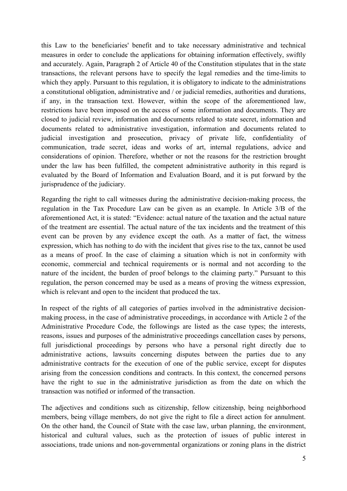this Law to the beneficiaries' benefit and to take necessary administrative and technical measures in order to conclude the applications for obtaining information effectively, swiftly and accurately. Again, Paragraph 2 of Article 40 of the Constitution stipulates that in the state transactions, the relevant persons have to specify the legal remedies and the time-limits to which they apply. Pursuant to this regulation, it is obligatory to indicate to the administrations a constitutional obligation, administrative and / or judicial remedies, authorities and durations, if any, in the transaction text. However, within the scope of the aforementioned law, restrictions have been imposed on the access of some information and documents. They are closed to judicial review, information and documents related to state secret, information and documents related to administrative investigation, information and documents related to judicial investigation and prosecution, privacy of private life, confidentiality of communication, trade secret, ideas and works of art, internal regulations, advice and considerations of opinion. Therefore, whether or not the reasons for the restriction brought under the law has been fulfilled, the competent administrative authority in this regard is evaluated by the Board of Information and Evaluation Board, and it is put forward by the jurisprudence of the judiciary.

Regarding the right to call witnesses during the administrative decision-making process, the regulation in the Tax Procedure Law can be given as an example. In Article 3/B of the aforementioned Act, it is stated: "Evidence: actual nature of the taxation and the actual nature of the treatment are essential. The actual nature of the tax incidents and the treatment of this event can be proven by any evidence except the oath. As a matter of fact, the witness expression, which has nothing to do with the incident that gives rise to the tax, cannot be used as a means of proof. In the case of claiming a situation which is not in conformity with economic, commercial and technical requirements or is normal and not according to the nature of the incident, the burden of proof belongs to the claiming party." Pursuant to this regulation, the person concerned may be used as a means of proving the witness expression, which is relevant and open to the incident that produced the tax.

In respect of the rights of all categories of parties involved in the administrative decisionmaking process, in the case of administrative proceedings, in accordance with Article 2 of the Administrative Procedure Code, the followings are listed as the case types; the interests, reasons, issues and purposes of the administrative proceedings cancellation cases by persons, full jurisdictional proceedings by persons who have a personal right directly due to administrative actions, lawsuits concerning disputes between the parties due to any administrative contracts for the execution of one of the public service, except for disputes arising from the concession conditions and contracts. In this context, the concerned persons have the right to sue in the administrative jurisdiction as from the date on which the transaction was notified or informed of the transaction.

The adjectives and conditions such as citizenship, fellow citizenship, being neighborhood members, being village members, do not give the right to file a direct action for annulment. On the other hand, the Council of State with the case law, urban planning, the environment, historical and cultural values, such as the protection of issues of public interest in associations, trade unions and non-governmental organizations or zoning plans in the district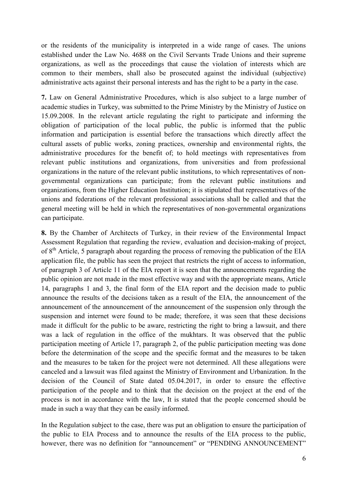or the residents of the municipality is interpreted in a wide range of cases. The unions established under the Law No. 4688 on the Civil Servants Trade Unions and their supreme organizations, as well as the proceedings that cause the violation of interests which are common to their members, shall also be prosecuted against the individual (subjective) administrative acts against their personal interests and has the right to be a party in the case.

**7.** Law on General Administrative Procedures, which is also subject to a large number of academic studies in Turkey, was submitted to the Prime Ministry by the Ministry of Justice on 15.09.2008. In the relevant article regulating the right to participate and informing the obligation of participation of the local public, the public is informed that the public information and participation is essential before the transactions which directly affect the cultural assets of public works, zoning practices, ownership and environmental rights, the administrative procedures for the benefit of; to hold meetings with representatives from relevant public institutions and organizations, from universities and from professional organizations in the nature of the relevant public institutions, to which representatives of nongovernmental organizations can participate; from the relevant public institutions and organizations, from the Higher Education Institution; it is stipulated that representatives of the unions and federations of the relevant professional associations shall be called and that the general meeting will be held in which the representatives of non-governmental organizations can participate.

**8.** By the Chamber of Architects of Turkey, in their review of the Environmental Impact Assessment Regulation that regarding the review, evaluation and decision-making of project, of 8<sup>th</sup> Article, 5 paragraph about regarding the process of removing the publication of the EIA application file, the public has seen the project that restricts the right of access to information, of paragraph 3 of Article 11 of the EIA report it is seen that the announcements regarding the public opinion are not made in the most effective way and with the appropriate means, Article 14, paragraphs 1 and 3, the final form of the EIA report and the decision made to public announce the results of the decisions taken as a result of the EIA, the announcement of the announcement of the announcement of the announcement of the suspension only through the suspension and internet were found to be made; therefore, it was seen that these decisions made it difficult for the public to be aware, restricting the right to bring a lawsuit, and there was a lack of regulation in the office of the mukhtars. It was observed that the public participation meeting of Article 17, paragraph 2, of the public participation meeting was done before the determination of the scope and the specific format and the measures to be taken and the measures to be taken for the project were not determined. All these allegations were canceled and a lawsuit was filed against the Ministry of Environment and Urbanization. In the decision of the Council of State dated 05.04.2017, in order to ensure the effective participation of the people and to think that the decision on the project at the end of the process is not in accordance with the law, It is stated that the people concerned should be made in such a way that they can be easily informed.

In the Regulation subject to the case, there was put an obligation to ensure the participation of the public to EIA Process and to announce the results of the EIA process to the public, however, there was no definition for "announcement" or "PENDING ANNOUNCEMENT"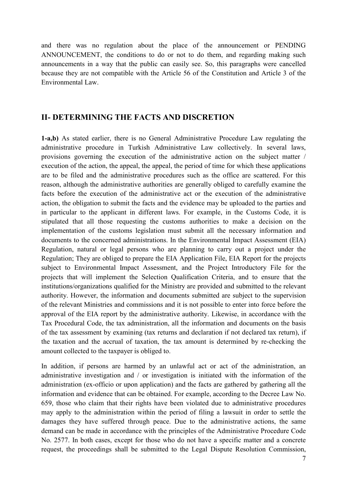and there was no regulation about the place of the announcement or PENDING ANNOUNCEMENT, the conditions to do or not to do them, and regarding making such announcements in a way that the public can easily see. So, this paragraphs were cancelled because they are not compatible with the Article 56 of the Constitution and Article 3 of the Environmental Law.

#### **II- DETERMINING THE FACTS AND DISCRETION**

**1-a,b)** As stated earlier, there is no General Administrative Procedure Law regulating the administrative procedure in Turkish Administrative Law collectively. In several laws, provisions governing the execution of the administrative action on the subject matter / execution of the action, the appeal, the appeal, the period of time for which these applications are to be filed and the administrative procedures such as the office are scattered. For this reason, although the administrative authorities are generally obliged to carefully examine the facts before the execution of the administrative act or the execution of the administrative action, the obligation to submit the facts and the evidence may be uploaded to the parties and in particular to the applicant in different laws. For example, in the Customs Code, it is stipulated that all those requesting the customs authorities to make a decision on the implementation of the customs legislation must submit all the necessary information and documents to the concerned administrations. In the Environmental Impact Assessment (EIA) Regulation, natural or legal persons who are planning to carry out a project under the Regulation; They are obliged to prepare the EIA Application File, EIA Report for the projects subject to Environmental Impact Assessment, and the Project Introductory File for the projects that will implement the Selection Qualification Criteria, and to ensure that the institutions/organizations qualified for the Ministry are provided and submitted to the relevant authority. However, the information and documents submitted are subject to the supervision of the relevant Ministries and commissions and it is not possible to enter into force before the approval of the EIA report by the administrative authority. Likewise, in accordance with the Tax Procedural Code, the tax administration, all the information and documents on the basis of the tax assessment by examining (tax returns and declaration if not declared tax return), if the taxation and the accrual of taxation, the tax amount is determined by re-checking the amount collected to the taxpayer is obliged to.

In addition, if persons are harmed by an unlawful act or act of the administration, an administrative investigation and / or investigation is initiated with the information of the administration (ex-officio or upon application) and the facts are gathered by gathering all the information and evidence that can be obtained. For example, according to the Decree Law No. 659, those who claim that their rights have been violated due to administrative procedures may apply to the administration within the period of filing a lawsuit in order to settle the damages they have suffered through peace. Due to the administrative actions, the same demand can be made in accordance with the principles of the Administrative Procedure Code No. 2577. In both cases, except for those who do not have a specific matter and a concrete request, the proceedings shall be submitted to the Legal Dispute Resolution Commission,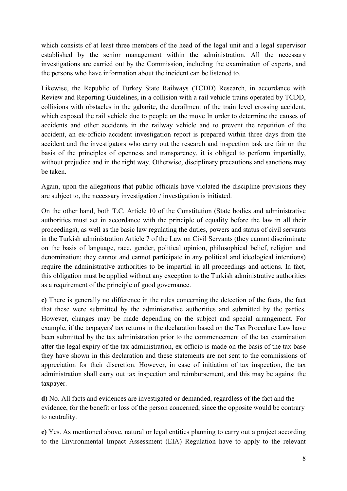which consists of at least three members of the head of the legal unit and a legal supervisor established by the senior management within the administration. All the necessary investigations are carried out by the Commission, including the examination of experts, and the persons who have information about the incident can be listened to.

Likewise, the Republic of Turkey State Railways (TCDD) Research, in accordance with Review and Reporting Guidelines, in a collision with a rail vehicle trains operated by TCDD, collisions with obstacles in the gabarite, the derailment of the train level crossing accident, which exposed the rail vehicle due to people on the move In order to determine the causes of accidents and other accidents in the railway vehicle and to prevent the repetition of the accident, an ex-officio accident investigation report is prepared within three days from the accident and the investigators who carry out the research and inspection task are fair on the basis of the principles of openness and transparency. it is obliged to perform impartially, without prejudice and in the right way. Otherwise, disciplinary precautions and sanctions may be taken.

Again, upon the allegations that public officials have violated the discipline provisions they are subject to, the necessary investigation / investigation is initiated.

On the other hand, both T.C. Article 10 of the Constitution (State bodies and administrative authorities must act in accordance with the principle of equality before the law in all their proceedings), as well as the basic law regulating the duties, powers and status of civil servants in the Turkish administration Article 7 of the Law on Civil Servants (they cannot discriminate on the basis of language, race, gender, political opinion, philosophical belief, religion and denomination; they cannot and cannot participate in any political and ideological intentions) require the administrative authorities to be impartial in all proceedings and actions. In fact, this obligation must be applied without any exception to the Turkish administrative authorities as a requirement of the principle of good governance.

**c)** There is generally no difference in the rules concerning the detection of the facts, the fact that these were submitted by the administrative authorities and submitted by the parties. However, changes may be made depending on the subject and special arrangement. For example, if the taxpayers' tax returns in the declaration based on the Tax Procedure Law have been submitted by the tax administration prior to the commencement of the tax examination after the legal expiry of the tax administration, ex-officio is made on the basis of the tax base they have shown in this declaration and these statements are not sent to the commissions of appreciation for their discretion. However, in case of initiation of tax inspection, the tax administration shall carry out tax inspection and reimbursement, and this may be against the taxpayer.

**d)** No. All facts and evidences are investigated or demanded, regardless of the fact and the evidence, for the benefit or loss of the person concerned, since the opposite would be contrary to neutrality.

**e)** Yes. As mentioned above, natural or legal entities planning to carry out a project according to the Environmental Impact Assessment (EIA) Regulation have to apply to the relevant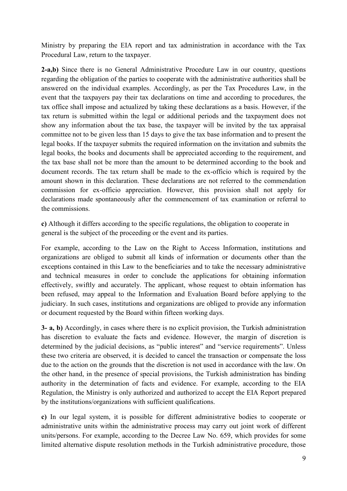Ministry by preparing the EIA report and tax administration in accordance with the Tax Procedural Law, return to the taxpayer.

**2-a,b)** Since there is no General Administrative Procedure Law in our country, questions regarding the obligation of the parties to cooperate with the administrative authorities shall be answered on the individual examples. Accordingly, as per the Tax Procedures Law, in the event that the taxpayers pay their tax declarations on time and according to procedures, the tax office shall impose and actualized by taking these declarations as a basis. However, if the tax return is submitted within the legal or additional periods and the taxpayment does not show any information about the tax base, the taxpayer will be invited by the tax appraisal committee not to be given less than 15 days to give the tax base information and to present the legal books. If the taxpayer submits the required information on the invitation and submits the legal books, the books and documents shall be appreciated according to the requirement, and the tax base shall not be more than the amount to be determined according to the book and document records. The tax return shall be made to the ex-officio which is required by the amount shown in this declaration. These declarations are not referred to the commendation commission for ex-officio appreciation. However, this provision shall not apply for declarations made spontaneously after the commencement of tax examination or referral to the commissions.

**c)** Although it differs according to the specific regulations, the obligation to cooperate in general is the subject of the proceeding or the event and its parties.

For example, according to the Law on the Right to Access Information, institutions and organizations are obliged to submit all kinds of information or documents other than the exceptions contained in this Law to the beneficiaries and to take the necessary administrative and technical measures in order to conclude the applications for obtaining information effectively, swiftly and accurately. The applicant, whose request to obtain information has been refused, may appeal to the Information and Evaluation Board before applying to the judiciary. In such cases, institutions and organizations are obliged to provide any information or document requested by the Board within fifteen working days.

**3- a, b)** Accordingly, in cases where there is no explicit provision, the Turkish administration has discretion to evaluate the facts and evidence. However, the margin of discretion is determined by the judicial decisions, as "public interest" and "service requirements". Unless these two criteria are observed, it is decided to cancel the transaction or compensate the loss due to the action on the grounds that the discretion is not used in accordance with the law. On the other hand, in the presence of special provisions, the Turkish administration has binding authority in the determination of facts and evidence. For example, according to the EIA Regulation, the Ministry is only authorized and authorized to accept the EIA Report prepared by the institutions/organizations with sufficient qualifications.

**c)** In our legal system, it is possible for different administrative bodies to cooperate or administrative units within the administrative process may carry out joint work of different units/persons. For example, according to the Decree Law No. 659, which provides for some limited alternative dispute resolution methods in the Turkish administrative procedure, those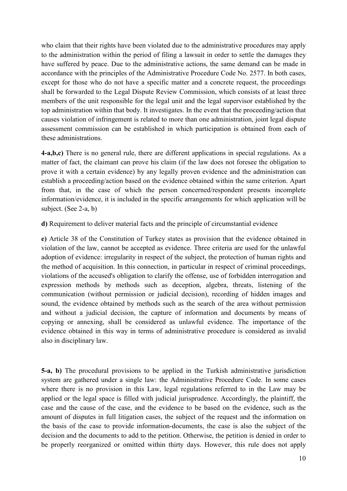who claim that their rights have been violated due to the administrative procedures may apply to the administration within the period of filing a lawsuit in order to settle the damages they have suffered by peace. Due to the administrative actions, the same demand can be made in accordance with the principles of the Administrative Procedure Code No. 2577. In both cases, except for those who do not have a specific matter and a concrete request, the proceedings shall be forwarded to the Legal Dispute Review Commission, which consists of at least three members of the unit responsible for the legal unit and the legal supervisor established by the top administration within that body. It investigates. In the event that the proceeding/action that causes violation of infringement is related to more than one administration, joint legal dispute assessment commission can be established in which participation is obtained from each of these administrations.

**4-a,b,c)** There is no general rule, there are different applications in special regulations. As a matter of fact, the claimant can prove his claim (if the law does not foresee the obligation to prove it with a certain evidence) by any legally proven evidence and the administration can establish a proceeding/action based on the evidence obtained within the same criterion. Apart from that, in the case of which the person concerned/respondent presents incomplete information/evidence, it is included in the specific arrangements for which application will be subject. (See 2-a, b)

**d)** Requirement to deliver material facts and the principle of circumstantial evidence

**e)** Article 38 of the Constitution of Turkey states as provision that the evidence obtained in violation of the law, cannot be accepted as evidence. Three criteria are used for the unlawful adoption of evidence: irregularity in respect of the subject, the protection of human rights and the method of acquisition. In this connection, in particular in respect of criminal proceedings, violations of the accused's obligation to clarify the offense, use of forbidden interrogation and expression methods by methods such as deception, algebra, threats, listening of the communication (without permission or judicial decision), recording of hidden images and sound, the evidence obtained by methods such as the search of the area without permission and without a judicial decision, the capture of information and documents by means of copying or annexing, shall be considered as unlawful evidence. The importance of the evidence obtained in this way in terms of administrative procedure is considered as invalid also in disciplinary law.

**5-a, b)** The procedural provisions to be applied in the Turkish administrative jurisdiction system are gathered under a single law: the Administrative Procedure Code. In some cases where there is no provision in this Law, legal regulations referred to in the Law may be applied or the legal space is filled with judicial jurisprudence. Accordingly, the plaintiff, the case and the cause of the case, and the evidence to be based on the evidence, such as the amount of disputes in full litigation cases, the subject of the request and the information on the basis of the case to provide information-documents, the case is also the subject of the decision and the documents to add to the petition. Otherwise, the petition is denied in order to be properly reorganized or omitted within thirty days. However, this rule does not apply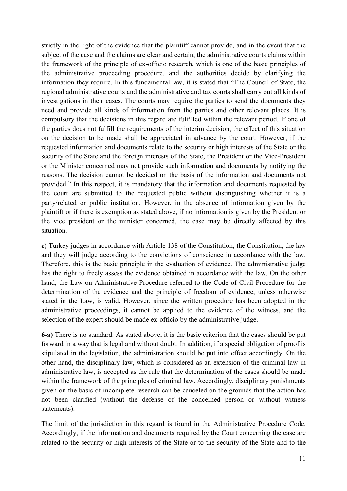strictly in the light of the evidence that the plaintiff cannot provide, and in the event that the subject of the case and the claims are clear and certain, the administrative courts claims within the framework of the principle of ex-officio research, which is one of the basic principles of the administrative proceeding procedure, and the authorities decide by clarifying the information they require. In this fundamental law, it is stated that "The Council of State, the regional administrative courts and the administrative and tax courts shall carry out all kinds of investigations in their cases. The courts may require the parties to send the documents they need and provide all kinds of information from the parties and other relevant places. It is compulsory that the decisions in this regard are fulfilled within the relevant period. If one of the parties does not fulfill the requirements of the interim decision, the effect of this situation on the decision to be made shall be appreciated in advance by the court. However, if the requested information and documents relate to the security or high interests of the State or the security of the State and the foreign interests of the State, the President or the Vice-President or the Minister concerned may not provide such information and documents by notifying the reasons. The decision cannot be decided on the basis of the information and documents not provided." In this respect, it is mandatory that the information and documents requested by the court are submitted to the requested public without distinguishing whether it is a party/related or public institution. However, in the absence of information given by the plaintiff or if there is exemption as stated above, if no information is given by the President or the vice president or the minister concerned, the case may be directly affected by this situation.

**c)** Turkey judges in accordance with Article 138 of the Constitution, the Constitution, the law and they will judge according to the convictions of conscience in accordance with the law. Therefore, this is the basic principle in the evaluation of evidence. The administrative judge has the right to freely assess the evidence obtained in accordance with the law. On the other hand, the Law on Administrative Procedure referred to the Code of Civil Procedure for the determination of the evidence and the principle of freedom of evidence, unless otherwise stated in the Law, is valid. However, since the written procedure has been adopted in the administrative proceedings, it cannot be applied to the evidence of the witness, and the selection of the expert should be made ex-officio by the administrative judge.

**6-a)** There is no standard. As stated above, it is the basic criterion that the cases should be put forward in a way that is legal and without doubt. In addition, if a special obligation of proof is stipulated in the legislation, the administration should be put into effect accordingly. On the other hand, the disciplinary law, which is considered as an extension of the criminal law in administrative law, is accepted as the rule that the determination of the cases should be made within the framework of the principles of criminal law. Accordingly, disciplinary punishments given on the basis of incomplete research can be canceled on the grounds that the action has not been clarified (without the defense of the concerned person or without witness statements).

The limit of the jurisdiction in this regard is found in the Administrative Procedure Code. Accordingly, if the information and documents required by the Court concerning the case are related to the security or high interests of the State or to the security of the State and to the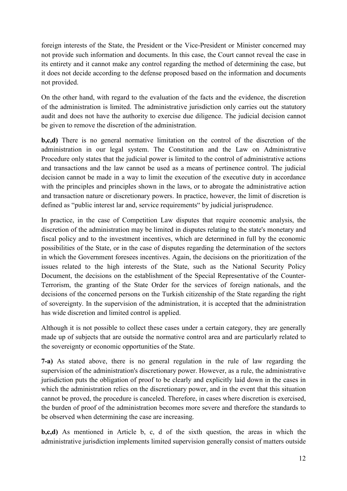foreign interests of the State, the President or the Vice-President or Minister concerned may not provide such information and documents. In this case, the Court cannot reveal the case in its entirety and it cannot make any control regarding the method of determining the case, but it does not decide according to the defense proposed based on the information and documents not provided.

On the other hand, with regard to the evaluation of the facts and the evidence, the discretion of the administration is limited. The administrative jurisdiction only carries out the statutory audit and does not have the authority to exercise due diligence. The judicial decision cannot be given to remove the discretion of the administration.

**b,c,d)** There is no general normative limitation on the control of the discretion of the administration in our legal system. The Constitution and the Law on Administrative Procedure only states that the judicial power is limited to the control of administrative actions and transactions and the law cannot be used as a means of pertinence control. The judicial decision cannot be made in a way to limit the execution of the executive duty in accordance with the principles and principles shown in the laws, or to abrogate the administrative action and transaction nature or discretionary powers. In practice, however, the limit of discretion is defined as "public interest lar and, service requirements" by judicial jurisprudence.

In practice, in the case of Competition Law disputes that require economic analysis, the discretion of the administration may be limited in disputes relating to the state's monetary and fiscal policy and to the investment incentives, which are determined in full by the economic possibilities of the State, or in the case of disputes regarding the determination of the sectors in which the Government foresees incentives. Again, the decisions on the prioritization of the issues related to the high interests of the State, such as the National Security Policy Document, the decisions on the establishment of the Special Representative of the Counter-Terrorism, the granting of the State Order for the services of foreign nationals, and the decisions of the concerned persons on the Turkish citizenship of the State regarding the right of sovereignty. In the supervision of the administration, it is accepted that the administration has wide discretion and limited control is applied.

Although it is not possible to collect these cases under a certain category, they are generally made up of subjects that are outside the normative control area and are particularly related to the sovereignty or economic opportunities of the State.

**7-a)** As stated above, there is no general regulation in the rule of law regarding the supervision of the administration's discretionary power. However, as a rule, the administrative jurisdiction puts the obligation of proof to be clearly and explicitly laid down in the cases in which the administration relies on the discretionary power, and in the event that this situation cannot be proved, the procedure is canceled. Therefore, in cases where discretion is exercised, the burden of proof of the administration becomes more severe and therefore the standards to be observed when determining the case are increasing.

**b,c,d)** As mentioned in Article b, c, d of the sixth question, the areas in which the administrative jurisdiction implements limited supervision generally consist of matters outside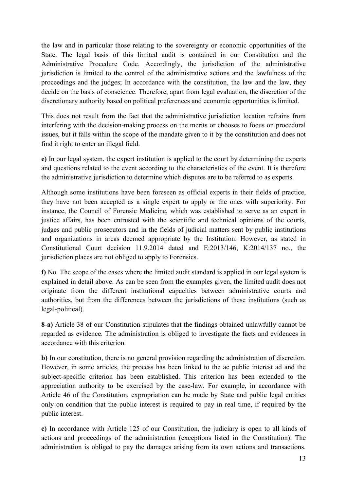the law and in particular those relating to the sovereignty or economic opportunities of the State. The legal basis of this limited audit is contained in our Constitution and the Administrative Procedure Code. Accordingly, the jurisdiction of the administrative jurisdiction is limited to the control of the administrative actions and the lawfulness of the proceedings and the judges; In accordance with the constitution, the law and the law, they decide on the basis of conscience. Therefore, apart from legal evaluation, the discretion of the discretionary authority based on political preferences and economic opportunities is limited.

This does not result from the fact that the administrative jurisdiction location refrains from interfering with the decision-making process on the merits or chooses to focus on procedural issues, but it falls within the scope of the mandate given to it by the constitution and does not find it right to enter an illegal field.

**e)** In our legal system, the expert institution is applied to the court by determining the experts and questions related to the event according to the characteristics of the event. It is therefore the administrative jurisdiction to determine which disputes are to be referred to as experts.

Although some institutions have been foreseen as official experts in their fields of practice, they have not been accepted as a single expert to apply or the ones with superiority. For instance, the Council of Forensic Medicine, which was established to serve as an expert in justice affairs, has been entrusted with the scientific and technical opinions of the courts, judges and public prosecutors and in the fields of judicial matters sent by public institutions and organizations in areas deemed appropriate by the Institution. However, as stated in Constitutional Court decision 11.9.2014 dated and E:2013/146, K:2014/137 no., the jurisdiction places are not obliged to apply to Forensics.

**f)** No. The scope of the cases where the limited audit standard is applied in our legal system is explained in detail above. As can be seen from the examples given, the limited audit does not originate from the different institutional capacities between administrative courts and authorities, but from the differences between the jurisdictions of these institutions (such as legal-political).

**8-a)** Article 38 of our Constitution stipulates that the findings obtained unlawfully cannot be regarded as evidence. The administration is obliged to investigate the facts and evidences in accordance with this criterion.

**b)** In our constitution, there is no general provision regarding the administration of discretion. However, in some articles, the process has been linked to the ac public interest ad and the subject-specific criterion has been established. This criterion has been extended to the appreciation authority to be exercised by the case-law. For example, in accordance with Article 46 of the Constitution, expropriation can be made by State and public legal entities only on condition that the public interest is required to pay in real time, if required by the public interest.

**c)** In accordance with Article 125 of our Constitution, the judiciary is open to all kinds of actions and proceedings of the administration (exceptions listed in the Constitution). The administration is obliged to pay the damages arising from its own actions and transactions.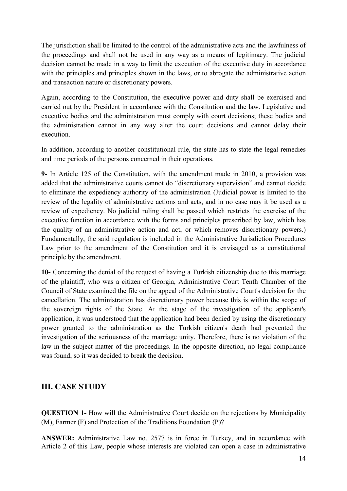The jurisdiction shall be limited to the control of the administrative acts and the lawfulness of the proceedings and shall not be used in any way as a means of legitimacy. The judicial decision cannot be made in a way to limit the execution of the executive duty in accordance with the principles and principles shown in the laws, or to abrogate the administrative action and transaction nature or discretionary powers.

Again, according to the Constitution, the executive power and duty shall be exercised and carried out by the President in accordance with the Constitution and the law. Legislative and executive bodies and the administration must comply with court decisions; these bodies and the administration cannot in any way alter the court decisions and cannot delay their execution.

In addition, according to another constitutional rule, the state has to state the legal remedies and time periods of the persons concerned in their operations.

**9-** In Article 125 of the Constitution, with the amendment made in 2010, a provision was added that the administrative courts cannot do "discretionary supervision" and cannot decide to eliminate the expediency authority of the administration (Judicial power is limited to the review of the legality of administrative actions and acts, and in no case may it be used as a review of expediency. No judicial ruling shall be passed which restricts the exercise of the executive function in accordance with the forms and principles prescribed by law, which has the quality of an administrative action and act, or which removes discretionary powers.) Fundamentally, the said regulation is included in the Administrative Jurisdiction Procedures Law prior to the amendment of the Constitution and it is envisaged as a constitutional principle by the amendment.

**10-** Concerning the denial of the request of having a Turkish citizenship due to this marriage of the plaintiff, who was a citizen of Georgia, Administrative Court Tenth Chamber of the Council of State examined the file on the appeal of the Administrative Court's decision for the cancellation. The administration has discretionary power because this is within the scope of the sovereign rights of the State. At the stage of the investigation of the applicant's application, it was understood that the application had been denied by using the discretionary power granted to the administration as the Turkish citizen's death had prevented the investigation of the seriousness of the marriage unity. Therefore, there is no violation of the law in the subject matter of the proceedings. In the opposite direction, no legal compliance was found, so it was decided to break the decision.

#### **III. CASE STUDY**

**QUESTION 1-** How will the Administrative Court decide on the rejections by Municipality (M), Farmer (F) and Protection of the Traditions Foundation (P)?

**ANSWER:** Administrative Law no. 2577 is in force in Turkey, and in accordance with Article 2 of this Law, people whose interests are violated can open a case in administrative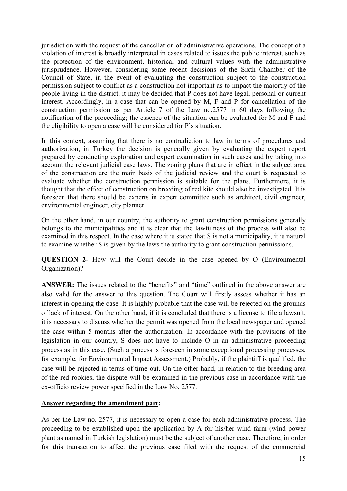jurisdiction with the request of the cancellation of administrative operations. The concept of a violation of interest is broadly interpreted in cases related to issues the public interest, such as the protection of the environment, historical and cultural values with the administrative jurisprudence. However, considering some recent decisions of the Sixth Chamber of the Council of State, in the event of evaluating the construction subject to the construction permission subject to conflict as a construction not important as to impact the majortiy of the people living in the district, it may be decided that P does not have legal, personal or current interest. Accordingly, in a case that can be opened by M, F and P for cancellation of the construction permission as per Article 7 of the Law no.2577 in 60 days following the notification of the proceeding; the essence of the situation can be evaluated for M and F and the eligibility to open a case will be considered for P's situation.

In this context, assuming that there is no contradiction to law in terms of procedures and authorization, in Turkey the decision is generally given by evaluating the expert report prepared by conducting exploration and expert examination in such cases and by taking into account the relevant judicial case laws. The zoning plans that are in effect in the subject area of the construction are the main basis of the judicial review and the court is requested to evaluate whether the construction permission is suitable for the plans. Furthermore, it is thought that the effect of construction on breeding of red kite should also be investigated. It is foreseen that there should be experts in expert committee such as architect, civil engineer, environmental engineer, city planner.

On the other hand, in our country, the authority to grant construction permissions generally belongs to the municipalities and it is clear that the lawfulness of the process will also be examined in this respect. In the case where it is stated that S is not a municipality, it is natural to examine whether S is given by the laws the authority to grant construction permissions.

**QUESTION 2-** How will the Court decide in the case opened by O (Environmental Organization)?

**ANSWER:** The issues related to the "benefits" and "time" outlined in the above answer are also valid for the answer to this question. The Court will firstly assess whether it has an interest in opening the case. It is highly probable that the case will be rejected on the grounds of lack of interest. On the other hand, if it is concluded that there is a license to file a lawsuit, it is necessary to discuss whether the permit was opened from the local newspaper and opened the case within 5 months after the authorization. In accordance with the provisions of the legislation in our country, S does not have to include O in an administrative proceeding process as in this case. (Such a process is foreseen in some exceptional processing processes, for example, for Environmental Impact Assessment.) Probably, if the plaintiff is qualified, the case will be rejected in terms of time-out. On the other hand, in relation to the breeding area of the red rookies, the dispute will be examined in the previous case in accordance with the ex-officio review power specified in the Law No. 2577.

#### **Answer regarding the amendment part:**

As per the Law no. 2577, it is necessary to open a case for each administrative process. The proceeding to be established upon the application by A for his/her wind farm (wind power plant as named in Turkish legislation) must be the subject of another case. Therefore, in order for this transaction to affect the previous case filed with the request of the commercial